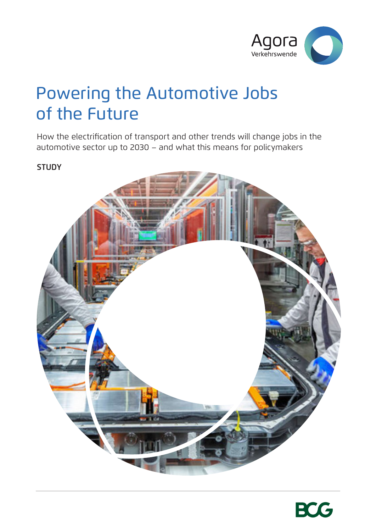

# Powering the Automotive Jobs of the Future

How the electrification of transport and other trends will change jobs in the automotive sector up to 2030 – and what this means for policymakers

### **STUDY**



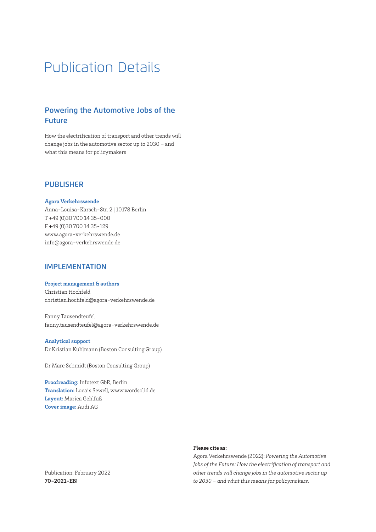## Publication Details

### Powering the Automotive Jobs of the Future

How the electrification of transport and other trends will change jobs in the automotive sector up to 2030 – and what this means for policymakers

#### PUBLISHER

#### **Agora Verkehrswende**

Anna-Louisa-Karsch-Str. 2 | 10178 Berlin T +49 (0)30 700 14 35-000 F +49 (0)30 700 14 35-129 www.agora-verkehrswende.de info@agora-verkehrswende.de

#### IMPLEMENTATION

#### **Project management & authors**

Christian Hochfeld christian.hochfeld@agora-verkehrswende.de

Fanny Tausendteufel fanny.tausendteufel@agora-verkehrswende.de

### **Analytical support**

Dr Kristian Kuhlmann (Boston Consulting Group)

Dr Marc Schmidt (Boston Consulting Group)

**Proofreading:** Infotext GbR, Berlin **Translation:** Lucais Sewell, www.wordsolid.de **Layout:** Marica Gehlfuß **Cover image:** Audi AG

#### **Please cite as:**

Agora Verkehrswende (2022): *Powering the Automotive Jobs of the Future: How the electrification of transport and other trends will change jobs in the automotive sector up to 2030 – and what this means for policymakers.*

Publication: February 2022 **70-2021-EN**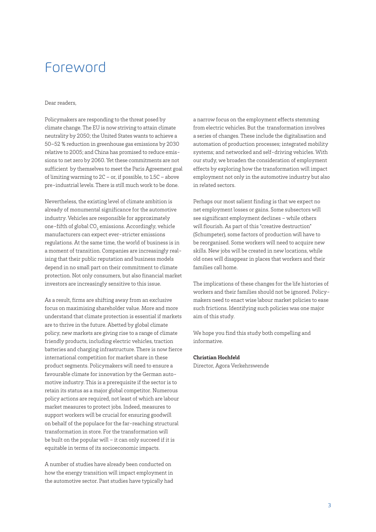## Foreword

#### Dear readers,

Policymakers are responding to the threat posed by climate change. The EU is now striving to attain climate neutrality by 2050; the United States wants to achieve a 50–52 % reduction in greenhouse gas emissions by 2030 relative to 2005; and China has promised to reduce emissions to net zero by 2060. Yet these commitments are not sufficient by themselves to meet the Paris Agreement goal of limiting warming to 2C – or, if possible, to 1.5C – above pre-industrial levels. There is still much work to be done.

Nevertheless, the existing level of climate ambition is already of monumental significance for the automotive industry. Vehicles are responsible for approximately one-fifth of global CO $_{\textrm{\tiny{2}}}$  emissions. Accordingly, vehicle manufacturers can expect ever-stricter emissions regulations. At the same time, the world of business is in a moment of transition. Companies are increasingly realising that their public reputation and business models depend in no small part on their commitment to climate protection. Not only consumers, but also financial market investors are increasingly sensitive to this issue.

As a result, firms are shifting away from an exclusive focus on maximising shareholder value. More and more understand that climate protection is essential if markets are to thrive in the future. Abetted by global climate policy, new markets are giving rise to a range of climate friendly products, including electric vehicles, traction batteries and charging infrastructure. There is now fierce international competition for market share in these product segments. Policymakers will need to ensure a favourable climate for innovation by the German automotive industry. This is a prerequisite if the sector is to retain its status as a major global competitor. Numerous policy actions are required, not least of which are labour market measures to protect jobs. Indeed, measures to support workers will be crucial for ensuring goodwill on behalf of the populace for the far-reaching structural transformation in store. For the transformation will be built on the popular will – it can only succeed if it is equitable in terms of its socioeconomic impacts.

A number of studies have already been conducted on how the energy transition will impact employment in the automotive sector. Past studies have typically had a narrow focus on the employment effects stemming from electric vehicles. But the transformation involves a series of changes. These include the digitalisation and automation of production processes; integrated mobility systems; and networked and self-driving vehicles. With our study, we broaden the consideration of employment effects by exploring how the transformation will impact employment not only in the automotive industry but also in related sectors.

Perhaps our most salient finding is that we expect no net employment losses or gains. Some subsectors will see significant employment declines – while others will flourish. As part of this "creative destruction" (Schumpeter), some factors of production will have to be reorganised. Some workers will need to acquire new skills. New jobs will be created in new locations, while old ones will disappear in places that workers and their families call home.

The implications of these changes for the life histories of workers and their families should not be ignored. Policymakers need to enact wise labour market policies to ease such frictions. Identifying such policies was one major aim of this study.

We hope you find this study both compelling and informative.

#### **Christian Hochfeld**

Director, Agora Verkehrswende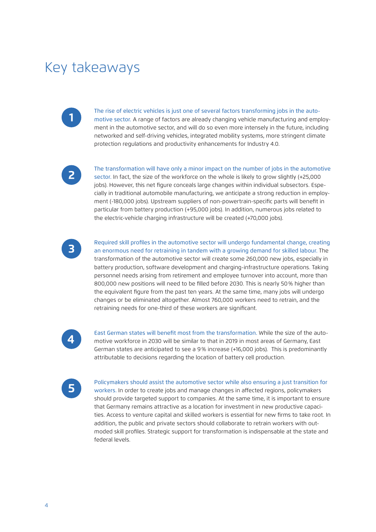## Key takeaways



The rise of electric vehicles is just one of several factors transforming jobs in the automotive sector. A range of factors are already changing vehicle manufacturing and employment in the automotive sector, and will do so even more intensely in the future, including networked and self-driving vehicles, integrated mobility systems, more stringent climate protection regulations and productivity enhancements for Industry 4.0.



The transformation will have only a minor impact on the number of jobs in the automotive sector. In fact, the size of the workforce on the whole is likely to grow slightly (+25,000 jobs). However, this net figure conceals large changes within individual subsectors. Especially in traditional automobile manufacturing, we anticipate a strong reduction in employment (-180,000 jobs). Upstream suppliers of non-powertrain-specific parts will benefit in particular from battery production (+95,000 jobs). In addition, numerous jobs related to the electric-vehicle charging infrastructure will be created (+70,000 jobs).



Required skill profiles in the automotive sector will undergo fundamental change, creating an enormous need for retraining in tandem with a growing demand for skilled labour. The transformation of the automotive sector will create some 260,000 new jobs, especially in battery production, software development and charging-infrastructure operations. Taking personnel needs arising from retirement and employee turnover into account, more than 800,000 new positions will need to be filled before 2030. This is nearly 50% higher than the equivalent figure from the past ten years. At the same time, many jobs will undergo changes or be eliminated altogether. Almost 760,000 workers need to retrain, and the retraining needs for one-third of these workers are significant.



East German states will benefit most from the transformation. While the size of the automotive workforce in 2030 will be similar to that in 2019 in most areas of Germany, East German states are anticipated to see a 9% increase (+16,000 jobs). This is predominantly attributable to decisions regarding the location of battery cell production.

Policymakers should assist the automotive sector while also ensuring a just transition for workers. In order to create jobs and manage changes in affected regions, policymakers should provide targeted support to companies. At the same time, it is important to ensure that Germany remains attractive as a location for investment in new productive capacities. Access to venture capital and skilled workers is essential for new firms to take root. In addition, the public and private sectors should collaborate to retrain workers with outmoded skill profiles. Strategic support for transformation is indispensable at the state and federal levels.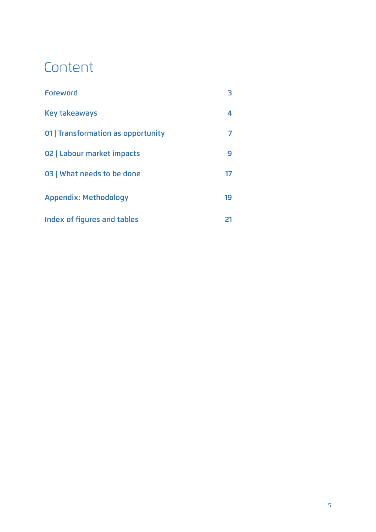## **Content**

| <b>Foreword</b>                    | 3  |
|------------------------------------|----|
| Key takeaways                      | 4  |
| 01   Transformation as opportunity | 7  |
| 02   Labour market impacts         | 9  |
| 03   What needs to be done         | 17 |
| <b>Appendix: Methodology</b>       | 19 |
| Index of figures and tables        |    |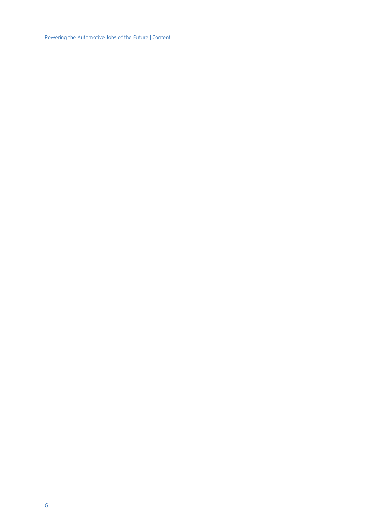Powering the Automotive Jobs of the Future | Content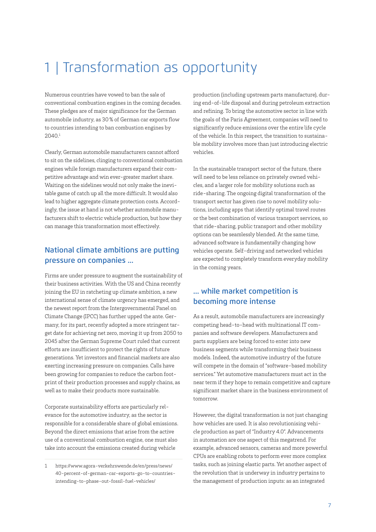## 1 | Transformation as opportunity

Numerous countries have vowed to ban the sale of conventional combustion engines in the coming decades. These pledges are of major significance for the German automobile industry, as 30% of German car exports flow to countries intending to ban combustion engines by 2040.1

Clearly, German automobile manufacturers cannot afford to sit on the sidelines, clinging to conventional combustion engines while foreign manufacturers expand their competitive advantage and win ever-greater market share. Waiting on the sidelines would not only make the inevitable game of catch up all the more difficult. It would also lead to higher aggregate climate protection costs. Accordingly, the issue at hand is not whether automobile manufacturers shift to electric vehicle production, but how they can manage this transformation most effectively.

#### National climate ambitions are putting pressure on companies ...

Firms are under pressure to augment the sustainability of their business activities. With the US and China recently joining the EU in ratcheting up climate ambition, a new international sense of climate urgency has emerged, and the newest report from the Intergovernmental Panel on Climate Change (IPCC) has further upped the ante. Germany, for its part, recently adopted a more stringent target date for achieving net zero, moving it up from 2050 to 2045 after the German Supreme Court ruled that current efforts are insufficient to protect the rights of future generations. Yet investors and financial markets are also exerting increasing pressure on companies. Calls have been growing for companies to reduce the carbon footprint of their production processes and supply chains, as well as to make their products more sustainable.

Corporate sustainability efforts are particularly relevance for the automotive industry, as the sector is responsible for a considerable share of global emissions. Beyond the direct emissions that arise from the active use of a conventional combustion engine, one must also take into account the emissions created during vehicle

production (including upstream parts manufacture), during end-of-life disposal and during petroleum extraction and refining. To bring the automotive sector in line with the goals of the Paris Agreement, companies will need to significantly reduce emissions over the entire life cycle of the vehicle. In this respect, the transition to sustainable mobility involves more than just introducing electric vehicles.

In the sustainable transport sector of the future, there will need to be less reliance on privately owned vehicles, and a larger role for mobility solutions such as ride-sharing. The ongoing digital transformation of the transport sector has given rise to novel mobility solutions, including apps that identify optimal travel routes or the best combination of various transport services, so that ride-sharing, public transport and other mobility options can be seamlessly blended. At the same time, advanced software is fundamentally changing how vehicles operate. Self-driving and networked vehicles are expected to completely transform everyday mobility in the coming years.

#### ... while market competition is becoming more intense

As a result, automobile manufacturers are increasingly competing head-to-head with multinational IT companies and software developers. Manufacturers and parts suppliers are being forced to enter into new business segments while transforming their business models. Indeed, the automotive industry of the future will compete in the domain of "software-based mobility services." Yet automotive manufacturers must act in the near term if they hope to remain competitive and capture significant market share in the business environment of tomorrow.

However, the digital transformation is not just changing how vehicles are used. It is also revolutionising vehicle production as part of "Industry 4.0". Advancements in automation are one aspect of this megatrend. For example, advanced sensors, cameras and more powerful CPUs are enabling robots to perform ever more complex tasks, such as joining elastic parts. Yet another aspect of the revolution that is underway in industry pertains to the management of production inputs: as an integrated

<sup>1</sup> https://www.agora-verkehrswende.de/en/press/news/ 40-percent-of-german-car-exports-go-to-countriesintending-to-phase-out-fossil-fuel-vehicles/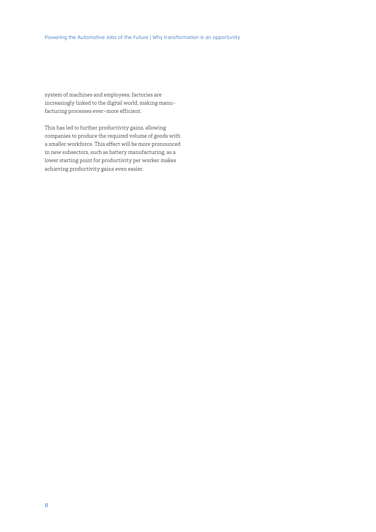system of machines and employees, factories are increasingly linked to the digital world, making manufacturing processes ever-more efficient.

This has led to further productivity gains, allowing companies to produce the required volume of goods with a smaller workforce. This effect will be more pronounced in new subsectors, such as battery manufacturing, as a lower starting point for productivity per worker makes achieving productivity gains even easier.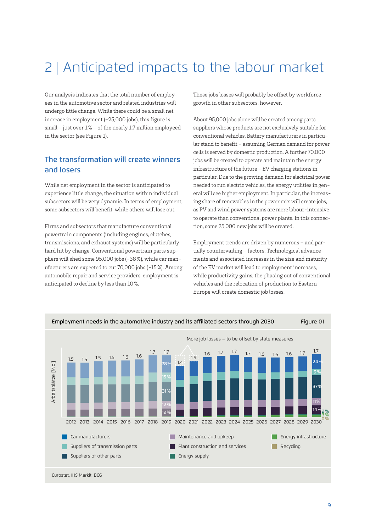## 2 | Anticipated impacts to the labour market

Our analysis indicates that the total number of employees in the automotive sector and related industries will undergo little change. While there could be a small net increase in employment (+25,000 jobs), this figure is small – just over 1% – of the nearly 1.7 million employeed in the sector (see Figure 1).

### The transformation will create winners and losers

While net employment in the sector is anticipated to experience little change, the situation within individual subsectors will be very dynamic. In terms of employment, some subsectors will benefit, while others will lose out.

Firms and subsectors that manufacture conventional powertrain components (including engines, clutches, transmissions, and exhaust systems) will be particularly hard hit by change. Conventional powertrain parts suppliers will shed some 95,000 jobs (-38%), while car manufacturers are expected to cut 70,000 jobs (-15%). Among automobile repair and service providers, employment is anticipated to decline by less than 10%.

These jobs losses will probably be offset by workforce growth in other subsectors, however.

About 95,000 jobs alone will be created among parts suppliers whose products are not exclusively suitable for conventional vehicles. Battery manufacturers in particular stand to benefit – assuming German demand for power cells is served by domestic production. A further 70,000 jobs will be created to operate and maintain the energy infrastructure of the future – EV charging stations in particular. Due to the growing demand for electrical power needed to run electric vehicles, the energy utilities in general will see higher employment. In particular, the increasing share of renewables in the power mix will create jobs, as PV and wind power systems are more labour-intensive to operate than conventional power plants. In this connection, some 25,000 new jobs will be created.

Employment trends are driven by numerous – and partially countervailing – factors. Technological advancements and associated increases in the size and maturity of the EV market will lead to employment increases, while productivity gains, the phasing out of conventional vehicles and the relocation of production to Eastern Europe will create domestic job losses.

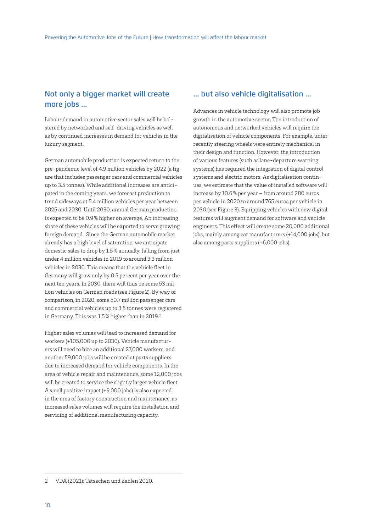### Not only a bigger market will create more jobs ...

Labour demand in automotive sector sales will be bolstered by networked and self-driving vehicles as well as by continued increases in demand for vehicles in the luxury segment.

German automobile production is expected return to the pre-pandemic level of 4.9 million vehicles by 2022 (a figure that includes passenger cars and commercial vehicles up to 3.5 tonnes). While additional increases are anticipated in the coming years, we forecast production to trend sideways at 5.4 million vehicles per year between 2025 and 2030. Until 2030, annual German production is expected to be 0.9% higher on average. An increasing share of these vehicles will be exported to serve growing foreign demand. Since the German automobile market already has a high level of saturation, we anticipate domestic sales to drop by 1.5% annually, falling from just under 4 million vehicles in 2019 to around 3.3 million vehicles in 2030. This means that the vehicle fleet in Germany will grow only by 0.5 percent per year over the next ten years. In 2030, there will thus be some 53 million vehicles on German roads (see Figure 2). By way of comparison, in 2020, some 50.7 million passenger cars and commercial vehicles up to 3.5 tonnes were registered in Germany. This was 1.5% higher than in 2019.<sup>2</sup>

Higher sales volumes will lead to increased demand for workers (+105,000 up to 2030). Vehicle manufacturers will need to hire an additional 27,000 workers, and another 59,000 jobs will be created at parts suppliers due to increased demand for vehicle components. In the area of vehicle repair and maintenance, some 12,000 jobs will be created to service the slightly larger vehicle fleet. A small positive impact (+9,000 jobs) is also expected in the area of factory construction and maintenance, as increased sales volumes will require the installation and servicing of additional manufacturing capacity.

#### ... but also vehicle digitalisation ...

Advances in vehicle technology will also promote job growth in the automotive sector. The introduction of autonomous and networked vehicles will require the digitalisation of vehicle components. For example, unter recently steering wheels were entirely mechanical in their design and function. However, the introduction of various features (such as lane-departure warning systems) has required the integration of digital control systems and electric motors. As digitalisation continues, we estimate that the value of installed software will increase by 10.6% per year – from around 280 euros per vehicle in 2020 to around 765 euros per vehicle in 2030 (see Figure 3). Equipping vehicles with new digital features will augment demand for software and vehicle engineers. This effect will create some 20,000 additional jobs, mainly among car manufacturers (+14,000 jobs), but also among parts suppliers (+6,000 jobs).

<sup>2</sup> VDA (2021): Tatsachen und Zahlen 2020.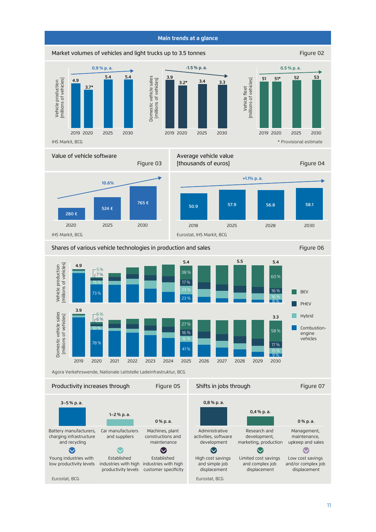#### **Main trends at a glance**





Shares of various vehicle technologies in production and sales Figure 06 Figure 06

industries with high industries with high productivity levels customer specificity

Eurostat, BCG



displacement

Eurostat, BCG

11

displacement

displacement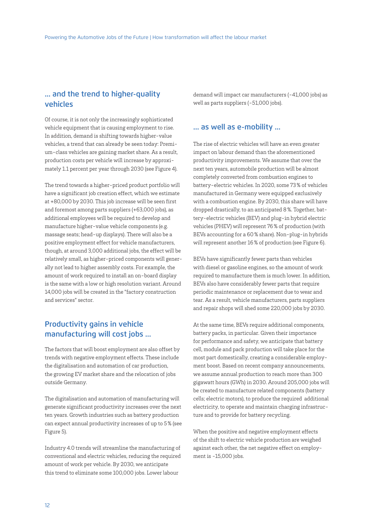#### ... and the trend to higher-quality vehicles

Of course, it is not only the increasingly sophisticated vehicle equipment that is causing employment to rise. In addition, demand is shifting towards higher-value vehicles, a trend that can already be seen today: Premium-class vehicles are gaining market share. As a result, production costs per vehicle will increase by approximately 1.1 percent per year through 2030 (see Figure 4).

The trend towards a higher-priced product portfolio will have a significant job creation effect, which we estimate at +80,000 by 2030. This job increase will be seen first and foremost among parts suppliers (+63,000 jobs), as additional employees will be required to develop and manufacture higher-value vehicle components (e.g. massage seats; head-up displays). There will also be a positive employment effect for vehicle manufacturers, though, at around 3,000 additional jobs, the effect will be relatively small, as higher-priced components will generally not lead to higher assembly costs. For example, the amount of work required to install an on-board display is the same with a low or high resolution variant. Around 14,000 jobs will be created in the "factory construction and services" sector.

#### Productivity gains in vehicle manufacturing will cost jobs ...

The factors that will boost employment are also offset by trends with negative employment effects. These include the digitalisation and automation of car production, the growing EV market share and the relocation of jobs outside Germany.

The digitalisation and automation of manufacturing will generate significant productivity increases over the next ten years. Growth industries such as battery production can expect annual productivity increases of up to 5% (see Figure 5).

Industry 4.0 trends will streamline the manufacturing of conventional and electric vehicles, reducing the required amount of work per vehicle. By 2030, we anticipate this trend to eliminate some 100,000 jobs. Lower labour

demand will impact car manufacturers (-41,000 jobs) as well as parts suppliers (-51,000 jobs).

#### ... as well as e-mobility ...

The rise of electric vehicles will have an even greater impact on labour demand than the aforementioned productivity improvements. We assume that over the next ten years, automobile production will be almost completely converted from combustion engines to battery-electric vehicles. In 2020, some 73% of vehicles manufactured in Germany were equipped exclusively with a combustion engine. By 2030, this share will have dropped drastically, to an anticipated 8%. Together, battery-electric vehicles (BEV) and plug-in hybrid electric vehicles (PHEV) will represent 76% of production (with BEVs accounting for a 60% share). Non-plug-in hybrids will represent another 16% of production (see Figure 6).

BEVs have significantly fewer parts than vehicles with diesel or gasoline engines, so the amount of work required to manufacture them is much lower. In addition, BEVs also have considerably fewer parts that require periodic maintenance or replacement due to wear and tear. As a result, vehicle manufacturers, parts suppliers and repair shops will shed some 220,000 jobs by 2030.

At the same time, BEVs require additional components, battery packs, in particular. Given their importance for performance and safety, we anticipate that battery cell, module and pack production will take place for the most part domestically, creating a considerable employment boost. Based on recent company announcements, we assume annual production to reach more than 300 gigawatt hours (GWh) in 2030. Around 205,000 jobs will be created to manufacture related components (battery cells; electric motors), to produce the required additional electricity, to operate and maintain charging infrastructure and to provide for battery recycling.

When the positive and negative employment effects of the shift to electric vehicle production are weighed against each other, the net negative effect on employment is -15,000 jobs.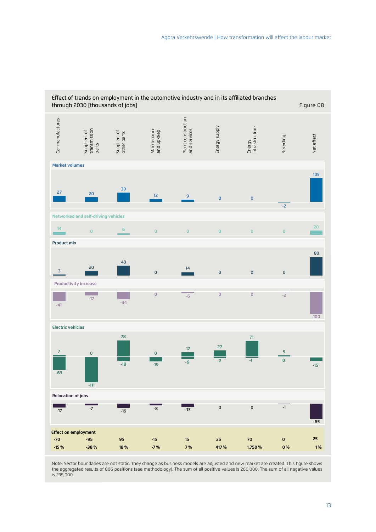

Note: Sector boundaries are not static. They change as business models are adjusted and new market are created. This figure shows the aggregated results of 806 positions (see methodology). The sum of all positive values is 260,000. The sum of all negative values is 235,000.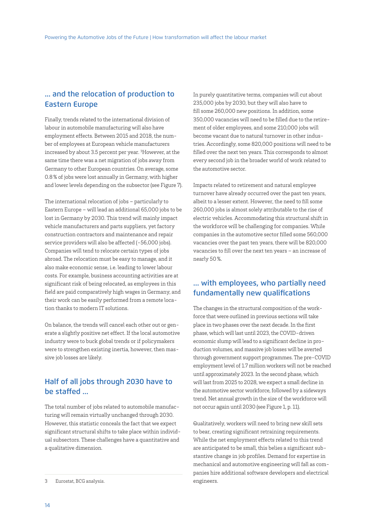### ... and the relocation of production to Eastern Europe

Finally, trends related to the international division of labour in automobile manufacturing will also have employment effects. Between 2015 and 2018, the number of employees at European vehicle manufacturers increased by about 3.5 percent per year. 3 However, at the same time there was a net migration of jobs away from Germany to other European countries. On average, some 0.8% of jobs were lost annually in Germany, with higher and lower levels depending on the subsector (see Figure 7).

The international relocation of jobs – particularly to Eastern Europe – will lead an additional 65,000 jobs to be lost in Germany by 2030. This trend will mainly impact vehicle manufacturers and parts suppliers, yet factory construction contractors and maintenance and repair service providers will also be affected (-56,000 jobs). Companies will tend to relocate certain types of jobs abroad. The relocation must be easy to manage, and it also make economic sense, i.e. leading to lower labour costs. For example, business accounting activities are at significant risk of being relocated, as employees in this field are paid comparatively high wages in Germany, and their work can be easily performed from a remote location thanks to modern IT solutions.

On balance, the trends will cancel each other out or generate a slightly positive net effect. If the local automotive industry were to buck global trends or if policymakers were to strengthen existing inertia, however, then massive job losses are likely.

#### Half of all jobs through 2030 have to be staffed ...

The total number of jobs related to automobile manufacturing will remain virtually unchanged through 2030. However, this statistic conceals the fact that we expect significant structural shifts to take place within individual subsectors. These challenges have a quantitative and a qualitative dimension.

In purely quantitative terms, companies will cut about 235,000 jobs by 2030, but they will also have to fill some 260,000 new positions. In addition, some 350,000 vacancies will need to be filled due to the retirement of older employees, and some 210,000 jobs will become vacant due to natural turnover in other industries. Accordingly, some 820,000 positions will need to be filled over the next ten years. This corresponds to almost every second job in the broader world of work related to the automotive sector.

Impacts related to retirement and natural employee turnover have already occurred over the past ten years, albeit to a lesser extent. However, the need to fill some 260,000 jobs is almost solely attributable to the rise of electric vehicles. Accommodating this structural shift in the workforce will be challenging for companies. While companies in the automotive sector filled some 560,000 vacancies over the past ten years, there will be 820,000 vacancies to fill over the next ten years – an increase of nearly 50%.

#### ... with employees, who partially need fundamentally new qualifications

The changes in the structural composition of the workforce that were outlined in previous sections will take place in two phases over the next decade. In the first phase, which will last until 2023, the COVID-driven economic slump will lead to a significant decline in production volumes, and massive job losses will be averted through government support programmes. The pre-COVID employment level of 1.7 million workers will not be reached until approximately 2023. In the second phase, which will last from 2025 to 2028, we expect a small decline in the automotive sector workforce, followed by a sideways trend. Net annual growth in the size of the workforce will not occur again until 2030 (see Figure 1, p. 11).

Qualitatively, workers will need to bring new skill sets to bear, creating significant retraining requirements. While the net employment effects related to this trend are anticipated to be small, this belies a significant substantive change in job profiles. Demand for expertise in mechanical and automotive engineering will fall as companies hire additional software developers and electrical engineers.

<sup>3</sup> Eurostat, BCG analysis.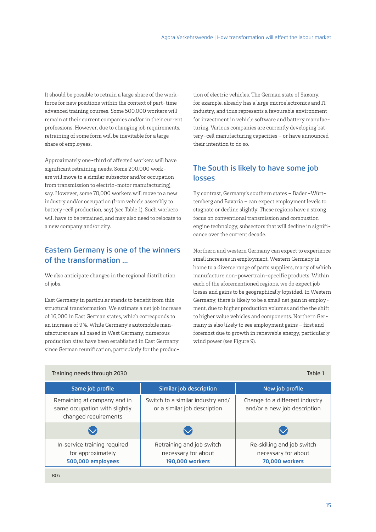It should be possible to retrain a large share of the workforce for new positions within the context of part-time advanced training courses. Some 500,000 workers will remain at their current companies and/or in their current professions. However, due to changing job requirements, retraining of some form will be inevitable for a large share of employees.

Approximately one-third of affected workers will have significant retraining needs. Some 200,000 workers will move to a similar subsector and/or occupation from transmission to electric-motor manufacturing), say. However, some 70,000 workers will move to a new industry and/or occupation (from vehicle assembly to battery-cell production, say) (see Table 1). Such workers will have to be retrained, and may also need to relocate to a new company and/or city.

#### Eastern Germany is one of the winners of the transformation ...

We also anticipate changes in the regional distribution of jobs.

East Germany in particular stands to benefit from this structural transformation. We estimate a net job increase of 16,000 in East German states, which corresponds to an increase of 9%. While Germany's automobile manufacturers are all based in West Germany, numerous production sites have been established in East Germany since German reunification, particularly for the production of electric vehicles. The German state of Saxony, for example, already has a large microelectronics and IT industry, and thus represents a favourable environment for investment in vehicle software and battery manufacturing. Various companies are currently developing battery-cell manufacturing capacities – or have announced their intention to do so.

### The South is likely to have some job losses

By contrast, Germany's southern states – Baden-Württemberg and Bavaria – can expect employment levels to stagnate or decline slightly. These regions have a strong focus on conventional transmission and combustion engine technology, subsectors that will decline in significance over the current decade.

Northern and western Germany can expect to experience small increases in employment. Western Germany is home to a diverse range of parts suppliers, many of which manufacture non-powertrain-specific products. Within each of the aforementioned regions, we do expect job losses and gains to be geographically lopsided. In Western Germany, there is likely to be a small net gain in employment, due to higher production volumes and the the shift to higher value vehicles and components. Northern Germany is also likely to see employment gains – first and foremost due to growth in renewable energy, particularly wind power (see Figure 9).

| Same job profile                                                                     | Similar job description                                                    | New job profile                                                            |
|--------------------------------------------------------------------------------------|----------------------------------------------------------------------------|----------------------------------------------------------------------------|
| Remaining at company and in<br>same occupation with slightly<br>changed requirements | Switch to a similar industry and/<br>or a similar job description          | Change to a different industry<br>and/or a new job description             |
|                                                                                      |                                                                            |                                                                            |
| In-service training required<br>for approximately<br>500,000 employees               | Retraining and job switch<br>necessary for about<br><b>190,000 workers</b> | Re-skilling and job switch<br>necessary for about<br><b>70,000 workers</b> |
| <b>BCG</b>                                                                           |                                                                            |                                                                            |

#### Training needs through 2030 Table 1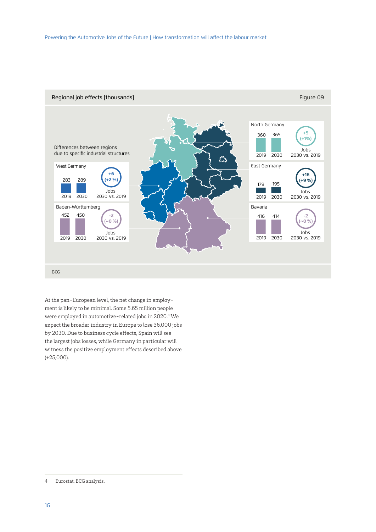

At the pan-European level, the net change in employment is likely to be minimal. Some 5.65 million people were employed in automotive-related jobs in 2020.<sup>4</sup> We expect the broader industry in Europe to lose 36,000 jobs by 2030. Due to business cycle effects, Spain will see the largest jobs losses, while Germany in particular will witness the positive employment effects described above (+25,000).

<sup>4</sup> Eurostat, BCG analysis.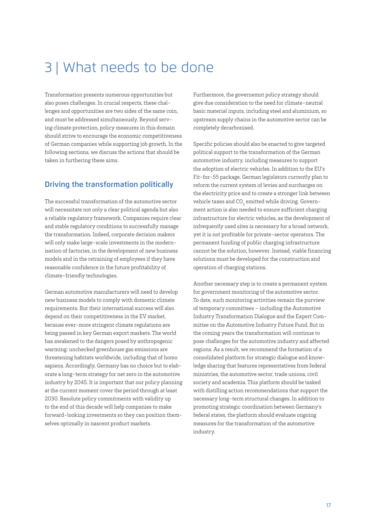## 3 | What needs to be done

Transformation presents numerous opportunities but also poses challenges. In crucial respects, these challenges and opportunities are two sides of the same coin, and must be addressed simultaneously. Beyond serving climate protection, policy measures in this domain should strive to encourage the economic competitiveness of German companies while supporting job growth. In the following sections, we discuss the actions that should be taken in furthering these aims.

#### Driving the transformation politically

The successful transformation of the automotive sector will necessitate not only a clear political agenda but also a reliable regulatory framework. Companies require clear and stable regulatory conditions to successfully manage the transformation. Indeed, corporate decision makers will only make large-scale investments in the modernisation of factories, in the development of new business models and in the retraining of employees if they have reasonable confidence in the future profitability of climate-friendly technologies.

German automotive manufacturers will need to develop new business models to comply with domestic climate requirements. But their international success will also depend on their competitiveness in the EV market, because ever-more stringent climate regulations are being passed in key German export markets. The world has awakened to the dangers posed by anthropogenic warming: unchecked greenhouse gas emissions are threatening habitats worldwide, including that of homo sapiens. Accordingly, Germany has no choice but to elaborate a long-term strategy for net zero in the automotive industry by 2045. It is important that our policy planning at the current moment cover the period through at least 2030. Resolute policy commitments with validity up to the end of this decade will help companies to make forward-looking investments so they can position themselves optimally in nascent product markets.

Furthermore, the governemnt policy strategy should give due consideration to the need for climate-neutral basic material inputs, including steel and aluminium, so upstream supply chains in the automotive sector can be completely decarbonised.

Specific policies should also be enacted to give targeted political support to the transformation of the German automotive industry, including measures to support the adoption of electric vehicles. In addition to the EU's Fit-for-55 package, German legislators currently plan to reform the current system of levies and surcharges on the electricity price and to create a stronger link between vehicle taxes and  $\mathtt{CO}_2$  emitted while driving. Government action is also needed to ensure sufficient charging infrastructure for electric vehicles, as the development of infrequently used sites is necessary for a broad network, yet it is not profitable for private-sector operators. The permanent funding of public charging infrastructure cannot be the solution, however. Instead, viable financing solutions must be developed for the construction and operation of charging stations.

Another necessary step is to create a permanent system for government monitoring of the automotive sector. To date, such monitoring activities remain the purview of temporary committees – including the Automotive Industry Transformation Dialogue and the Expert Committee on the Automotive Industry Future Fund. But in the coming years the transformation will continue to pose challenges for the automotive industry and affected regions. As a result, we recommend the formation of a consolidated platform for strategic dialogue and knowledge sharing that features representatives from federal ministries, the automotive sector, trade unions, civil society and academia. This platform should be tasked with distilling action recommendations that support the necessary long-term structural changes. In addition to promoting strategic coordination between Germany's federal states, the platform should evaluate ongoing measures for the transformation of the automotive industry.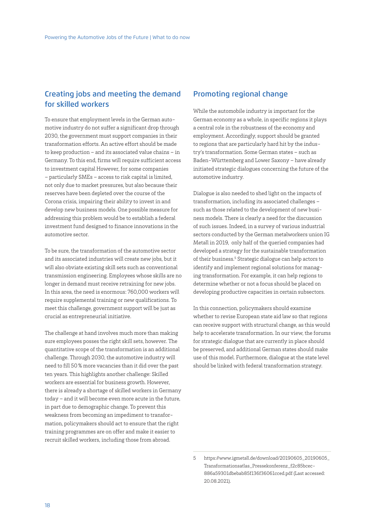### Creating jobs and meeting the demand for skilled workers

To ensure that employment levels in the German automotive industry do not suffer a significant drop through 2030, the government must support companies in their transformation efforts. An active effort should be made to keep production – and its associated value chains – in Germany. To this end, firms will require sufficient access to investment capital However, for some companies – particularly SMEs – access to risk capital is limited, not only due to market pressures, but also because their reserves have been depleted over the course of the Corona crisis, impairing their ability to invest in and develop new business models. One possible measure for addressing this problem would be to establish a federal investment fund designed to finance innovations in the automotive sector.

To be sure, the transformation of the automotive sector and its associated industries will create new jobs, but it will also obviate existing skill sets such as conventional transmission engineering. Employees whose skills are no longer in demand must receive retraining for new jobs. In this area, the need is enormous: 760,000 workers will require supplemental training or new qualifications. To meet this challenge, government support will be just as crucial as entrepreneurial initiative.

The challenge at hand involves much more than making sure employees posses the right skill sets, however. The quantitative scope of the transformation is an additional challenge. Through 2030, the automotive industry will need to fill 50% more vacancies than it did over the past ten years. This highlights another challenge: Skilled workers are essential for business growth. However, there is already a shortage of skilled workers in Germany today – and it will become even more acute in the future, in part due to demographic change. To prevent this weakness from becoming an impediment to transformation, policymakers should act to ensure that the right training programmes are on offer and make it easier to recruit skilled workers, including those from abroad.

#### Promoting regional change

While the automobile industry is important for the German economy as a whole, in specific regions it plays a central role in the robustness of the economy and employment. Accordingly, support should be granted to regions that are particularly hard hit by the industry's transformation. Some German states – such as Baden-Württemberg and Lower Saxony – have already initiated strategic dialogues concerning the future of the automotive industry.

Dialogue is also needed to shed light on the impacts of transformation, including its associated challenges – such as those related to the development of new business models. There is clearly a need for the discussion of such issues. Indeed, in a survey of various industrial sectors conducted by the German metalworkers union IG Metall in 2019, only half of the queried companies had developed a strategy for the sustainable transformation of their business.<sup>5</sup> Strategic dialogue can help actors to identify and implement regional solutions for managing transformation. For example, it can help regions to determine whether or not a focus should be placed on developing productive capacities in certain subsectors.

In this connection, policymakers should examine whether to revise European state aid law so that regions can receive support with structural change, as this would help to accelerate transformation. In our view, the forums for strategic dialogue that are currently in place should be preserved, and additional German states should make use of this model. Furthermore, dialogue at the state level should be linked with federal transformation strategy.

<sup>5</sup> https://www.igmetall.de/download/20190605\_20190605\_ Transformationsatlas\_Pressekonferenz\_f2c85bcec-886a59301dbebab85f136f36061cced.pdf (Last accessed: 20.08.2021).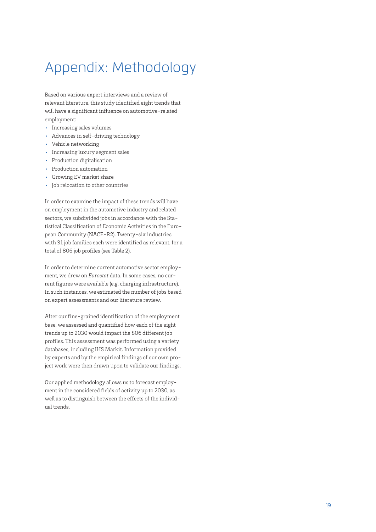# Appendix: Methodology

Based on various expert interviews and a review of relevant literature, this study identified eight trends that will have a significant influence on automotive-related employment:

- Increasing sales volumes
- Advances in self-driving technology
- Vehicle networking
- Increasing luxury segment sales
- Production digitalisation
- Production automation
- Growing EV market share
- Job relocation to other countries

In order to examine the impact of these trends will have on employment in the automotive industry and related sectors, we subdivided jobs in accordance with the Statistical Classification of Economic Activities in the European Community (NACE-R2). Twenty-six industries with 31 job families each were identified as relevant, for a total of 806 job profiles (see Table 2).

In order to determine current automotive sector employment, we drew on *Eurostat* data. In some cases, no current figures were available (e.g. charging infrastructure). In such instances, we estimated the number of jobs based on expert assessments and our literature review.

After our fine-grained identification of the employment base, we assessed and quantified how each of the eight trends up to 2030 would impact the 806 different job profiles. This assessment was performed using a variety databases, including IHS Markit. Information provided by experts and by the empirical findings of our own project work were then drawn upon to validate our findings.

Our applied methodology allows us to forecast employment in the considered fields of activity up to 2030, as well as to distinguish between the effects of the individual trends.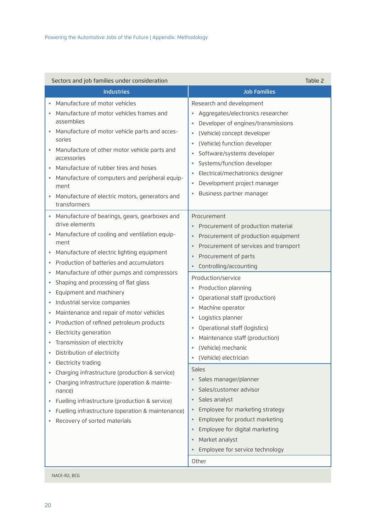| Sectors and job families under consideration                                                                                                                                                                                                                                                                                                                                                                                                                                                                                                                                                                                                                                                                                                                                      |                                                                                                                                                                                                                                                                                                                                                                                                                                  |  |
|-----------------------------------------------------------------------------------------------------------------------------------------------------------------------------------------------------------------------------------------------------------------------------------------------------------------------------------------------------------------------------------------------------------------------------------------------------------------------------------------------------------------------------------------------------------------------------------------------------------------------------------------------------------------------------------------------------------------------------------------------------------------------------------|----------------------------------------------------------------------------------------------------------------------------------------------------------------------------------------------------------------------------------------------------------------------------------------------------------------------------------------------------------------------------------------------------------------------------------|--|
| <b>Industries</b>                                                                                                                                                                                                                                                                                                                                                                                                                                                                                                                                                                                                                                                                                                                                                                 | <b>Job Families</b>                                                                                                                                                                                                                                                                                                                                                                                                              |  |
| Manufacture of motor vehicles<br>Manufacture of motor vehicles frames and<br>assemblies<br>Manufacture of motor vehicle parts and acces-<br>sories<br>Manufacture of other motor vehicle parts and<br>accessories<br>Manufacture of rubber tires and hoses<br>Manufacture of computers and peripheral equip-<br>ment<br>Manufacture of electric motors, generators and<br>transformers<br>Manufacture of bearings, gears, gearboxes and                                                                                                                                                                                                                                                                                                                                           | Research and development<br>Aggregates/electronics researcher<br>Developer of engines/transmissions<br>(Vehicle) concept developer<br>(Vehicle) function developer<br>۰<br>Software/systems developer<br>Systems/function developer<br>Electrical/mechatronics designer<br>Development project manager<br>Business partner manager<br>Procurement                                                                                |  |
| drive elements<br>Manufacture of cooling and ventilation equip-<br>ment<br>Manufacture of electric lighting equipment<br>Production of batteries and accumulators<br>Manufacture of other pumps and compressors<br>Shaping and processing of flat glass<br>Equipment and machinery<br>Industrial service companies<br>Maintenance and repair of motor vehicles<br>Production of refined petroleum products<br>Electricity generation<br>Transmission of electricity<br>Distribution of electricity<br>Electricity trading<br>Charging infrastructure (production & service)<br>Charging infrastructure (operation & mainte-<br>nance)<br>Fuelling infrastructure (production & service)<br>٠<br>Fuelling infrastructure (operation & maintenance)<br>Recovery of sorted materials | Procurement of production material<br>Procurement of production equipment<br>Procurement of services and transport<br>Procurement of parts<br>Controlling/accounting<br>Production/service<br>Production planning<br>Operational staff (production)<br>Machine operator<br>Logistics planner<br>٠<br>Operational staff (logistics)<br>Maintenance staff (production)<br>(Vehicle) mechanic<br>$\bullet$<br>(Vehicle) electrician |  |
|                                                                                                                                                                                                                                                                                                                                                                                                                                                                                                                                                                                                                                                                                                                                                                                   | Sales<br>Sales manager/planner<br>$\bullet$<br>Sales/customer advisor<br>$\bullet$<br>Sales analyst<br>$\bullet$<br>Employee for marketing strategy<br>Employee for product marketing<br>$\bullet$<br>Employee for digital marketing<br>Market analyst<br>Employee for service technology<br>Other                                                                                                                               |  |

NACE-R2, BCG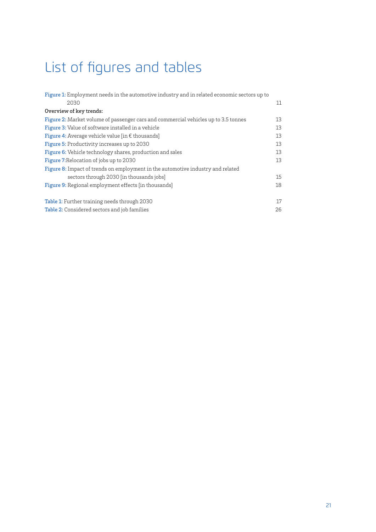# List of figures and tables

| Figure 1: Employment needs in the automotive industry and in related economic sectors up to |    |
|---------------------------------------------------------------------------------------------|----|
| 2030                                                                                        | 11 |
| Overview of key trends:                                                                     |    |
| Figure 2: Market volume of passenger cars and commercial vehicles up to 3.5 tonnes          | 13 |
| <b>Figure 3:</b> Value of software installed in a vehicle                                   | 13 |
| <b>Figure 4:</b> Average vehicle value $\left[ \text{in} \in \text{thousands} \right]$      | 13 |
| <b>Figure 5:</b> Productivity increases up to 2030                                          | 13 |
| <b>Figure 6:</b> Vehicle technology shares, production and sales                            | 13 |
| <b>Figure 7: Relocation of jobs up to 2030</b>                                              | 13 |
| Figure 8: Impact of trends on employment in the automotive industry and related             |    |
| sectors through 2030 [in thousands jobs]                                                    | 15 |
| <b>Figure 9:</b> Regional employment effects (in thousands)                                 | 18 |
|                                                                                             |    |
| <b>Table 1:</b> Further training needs through 2030                                         | 17 |
| <b>Table 2:</b> Considered sectors and job families                                         | 26 |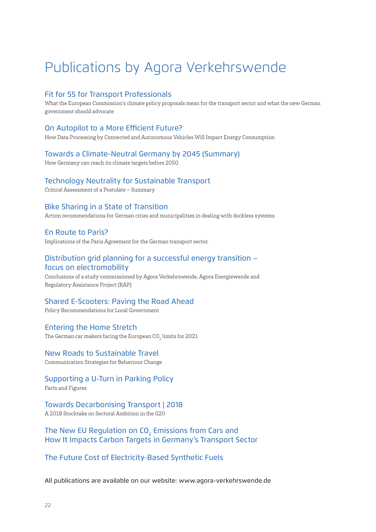# Publications by Agora Verkehrswende

#### Fit for 55 for Transport Professionals

What the European Commission's climate policy proposals mean for the transport sector and what the new German government should advocate

#### On Autopilot to a More Efficient Future?

How Data Processing by Connected and Autonomous Vehicles Will Impact Energy Consumption

#### Towards a Climate-Neutral Germany by 2045 (Summary)

How Germany can reach its climate targets before 2050

#### Technology Neutrality for Sustainable Transport

Critical Assessment of a Postulate – Summary

#### Bike Sharing in a State of Transition

Action recommendations for German cities and municipalities in dealing with dockless systems

#### En Route to Paris?

Implications of the Paris Agreement for the German transport sector

#### Distribution grid planning for a successful energy transition – focus on electromobility

Conclusions of a study commissioned by Agora Verkehrswende, Agora Energiewende and Regulatory Assistance Project (RAP)

#### Shared E-Scooters: Paving the Road Ahead

Policy Recommendations for Local Government

### Entering the Home Stretch

The German car makers facing the European CO $_2^{}$  limits for 2021  $\,$ 

### New Roads to Sustainable Travel

Communication Strategies for Behaviour Change

## Supporting a U-Turn in Parking Policy

Facts and Figures

#### Towards Decarbonising Transport | 2018 A 2018 Stocktake on Sectoral Ambition in the G20

#### The New EU Regulation on CO $_{\tiny 2}$  Emissions from Cars and How It Impacts Carbon Targets in Germany's Transport Sector

#### The Future Cost of Electricity-Based Synthetic Fuels

All publications are available on our website: www.agora-verkehrswende.de